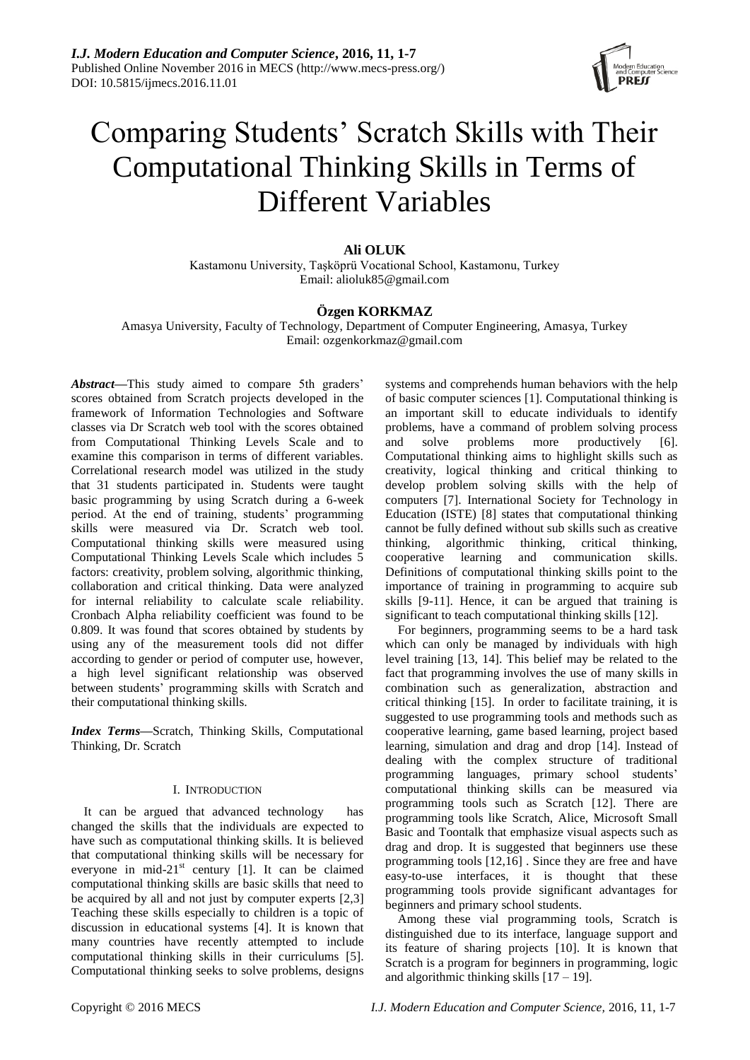

# Comparing Students' Scratch Skills with Their Computational Thinking Skills in Terms of Different Variables

## **Ali OLUK**

Kastamonu University, Taşköprü Vocational School, Kastamonu, Turkey Email: alioluk85@gmail.com

# **Özgen KORKMAZ**

Amasya University, Faculty of Technology, Department of Computer Engineering, Amasya, Turkey Email: [ozgenkorkmaz@gmail.com](mailto:ozgenkorkmaz@gmail.com)

*Abstract***—**This study aimed to compare 5th graders' scores obtained from Scratch projects developed in the framework of Information Technologies and Software classes via Dr Scratch web tool with the scores obtained from Computational Thinking Levels Scale and to examine this comparison in terms of different variables. Correlational research model was utilized in the study that 31 students participated in. Students were taught basic programming by using Scratch during a 6-week period. At the end of training, students' programming skills were measured via Dr. Scratch web tool. Computational thinking skills were measured using Computational Thinking Levels Scale which includes 5 factors: creativity, problem solving, algorithmic thinking, collaboration and critical thinking. Data were analyzed for internal reliability to calculate scale reliability. Cronbach Alpha reliability coefficient was found to be 0.809. It was found that scores obtained by students by using any of the measurement tools did not differ according to gender or period of computer use, however, a high level significant relationship was observed between students' programming skills with Scratch and their computational thinking skills.

*Index Terms***—**Scratch, Thinking Skills, Computational Thinking, Dr. Scratch

#### I. INTRODUCTION

It can be argued that advanced technology has changed the skills that the individuals are expected to have such as computational thinking skills. It is believed that computational thinking skills will be necessary for everyone in mid-21 $st$  century [1]. It can be claimed computational thinking skills are basic skills that need to be acquired by all and not just by computer experts [2,3] Teaching these skills especially to children is a topic of discussion in educational systems [4]. It is known that many countries have recently attempted to include computational thinking skills in their curriculums [5]. Computational thinking seeks to solve problems, designs

systems and comprehends human behaviors with the help of basic computer sciences [1]. Computational thinking is an important skill to educate individuals to identify problems, have a command of problem solving process and solve problems more productively [6]. Computational thinking aims to highlight skills such as creativity, logical thinking and critical thinking to develop problem solving skills with the help of computers [7]. International Society for Technology in Education (ISTE) [8] states that computational thinking cannot be fully defined without sub skills such as creative thinking, algorithmic thinking, critical thinking, cooperative learning and communication skills. Definitions of computational thinking skills point to the importance of training in programming to acquire sub skills [9-11]. Hence, it can be argued that training is significant to teach computational thinking skills [12].

For beginners, programming seems to be a hard task which can only be managed by individuals with high level training [13, 14]. This belief may be related to the fact that programming involves the use of many skills in combination such as generalization, abstraction and critical thinking [15]. In order to facilitate training, it is suggested to use programming tools and methods such as cooperative learning, game based learning, project based learning, simulation and drag and drop [14]. Instead of dealing with the complex structure of traditional programming languages, primary school students' computational thinking skills can be measured via programming tools such as Scratch [12]. There are programming tools like Scratch, Alice, Microsoft Small Basic and Toontalk that emphasize visual aspects such as drag and drop. It is suggested that beginners use these programming tools [12,16] . Since they are free and have easy-to-use interfaces, it is thought that these programming tools provide significant advantages for beginners and primary school students.

Among these vial programming tools, Scratch is distinguished due to its interface, language support and its feature of sharing projects [10]. It is known that Scratch is a program for beginners in programming, logic and algorithmic thinking skills  $[17 - 19]$ .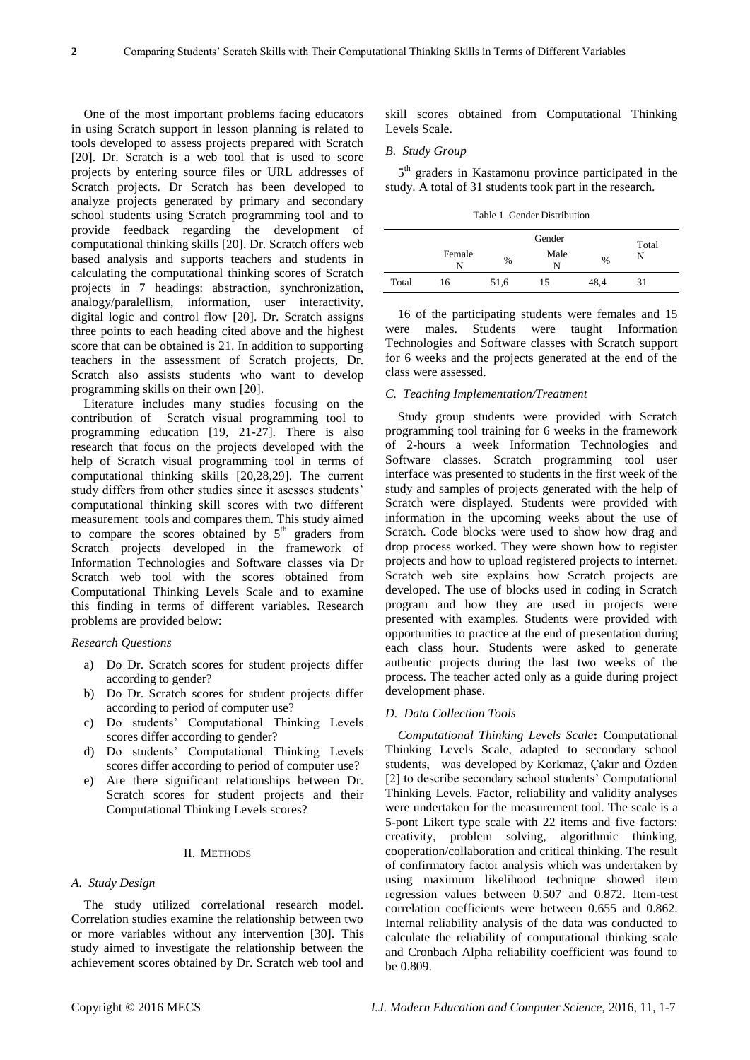One of the most important problems facing educators in using Scratch support in lesson planning is related to tools developed to assess projects prepared with Scratch [20]. Dr. Scratch is a web tool that is used to score projects by entering source files or URL addresses of Scratch projects. Dr Scratch has been developed to analyze projects generated by primary and secondary school students using Scratch programming tool and to provide feedback regarding the development of computational thinking skills [20]. Dr. Scratch offers web based analysis and supports teachers and students in calculating the computational thinking scores of Scratch projects in 7 headings: abstraction, synchronization, analogy/paralellism, information, user interactivity, digital logic and control flow [20]. Dr. Scratch assigns three points to each heading cited above and the highest score that can be obtained is 21. In addition to supporting teachers in the assessment of Scratch projects, Dr. Scratch also assists students who want to develop programming skills on their own [20].

Literature includes many studies focusing on the contribution of Scratch visual programming tool to programming education [19, 21-27]. There is also research that focus on the projects developed with the help of Scratch visual programming tool in terms of computational thinking skills [20,28,29]. The current study differs from other studies since it asesses students' computational thinking skill scores with two different measurement tools and compares them. This study aimed to compare the scores obtained by  $5<sup>th</sup>$  graders from Scratch projects developed in the framework of Information Technologies and Software classes via Dr Scratch web tool with the scores obtained from Computational Thinking Levels Scale and to examine this finding in terms of different variables. Research problems are provided below:

#### *Research Questions*

- a) Do Dr. Scratch scores for student projects differ according to gender?
- b) Do Dr. Scratch scores for student projects differ according to period of computer use?
- c) Do students' Computational Thinking Levels scores differ according to gender?
- d) Do students' Computational Thinking Levels scores differ according to period of computer use?
- e) Are there significant relationships between Dr. Scratch scores for student projects and their Computational Thinking Levels scores?

## II. METHODS

#### *A. Study Design*

The study utilized correlational research model. Correlation studies examine the relationship between two or more variables without any intervention [30]. This study aimed to investigate the relationship between the achievement scores obtained by Dr. Scratch web tool and skill scores obtained from Computational Thinking Levels Scale.

#### *B. Study Group*

5 th graders in Kastamonu province participated in the study. A total of 31 students took part in the research.

Table 1. Gender Distribution

|       |             | Gender |           |      | Total |  |
|-------|-------------|--------|-----------|------|-------|--|
|       | Female<br>N | $\%$   | Male<br>N | $\%$ | N     |  |
| Total | 16          | 51,6   | 15        | 48.4 | 31    |  |

16 of the participating students were females and 15 were males. Students were taught Information Technologies and Software classes with Scratch support for 6 weeks and the projects generated at the end of the class were assessed.

#### *C. Teaching Implementation/Treatment*

Study group students were provided with Scratch programming tool training for 6 weeks in the framework of 2-hours a week Information Technologies and Software classes. Scratch programming tool user interface was presented to students in the first week of the study and samples of projects generated with the help of Scratch were displayed. Students were provided with information in the upcoming weeks about the use of Scratch. Code blocks were used to show how drag and drop process worked. They were shown how to register projects and how to upload registered projects to internet. Scratch web site explains how Scratch projects are developed. The use of blocks used in coding in Scratch program and how they are used in projects were presented with examples. Students were provided with opportunities to practice at the end of presentation during each class hour. Students were asked to generate authentic projects during the last two weeks of the process. The teacher acted only as a guide during project development phase.

#### *D. Data Collection Tools*

*Computational Thinking Levels Scale***:** Computational Thinking Levels Scale, adapted to secondary school students, was developed by Korkmaz, Çakır and Özden [2] to describe secondary school students' Computational Thinking Levels. Factor, reliability and validity analyses were undertaken for the measurement tool. The scale is a 5-pont Likert type scale with 22 items and five factors: creativity, problem solving, algorithmic thinking, cooperation/collaboration and critical thinking. The result of confirmatory factor analysis which was undertaken by using maximum likelihood technique showed item regression values between 0.507 and 0.872. Item-test correlation coefficients were between 0.655 and 0.862. Internal reliability analysis of the data was conducted to calculate the reliability of computational thinking scale and Cronbach Alpha reliability coefficient was found to be 0.809.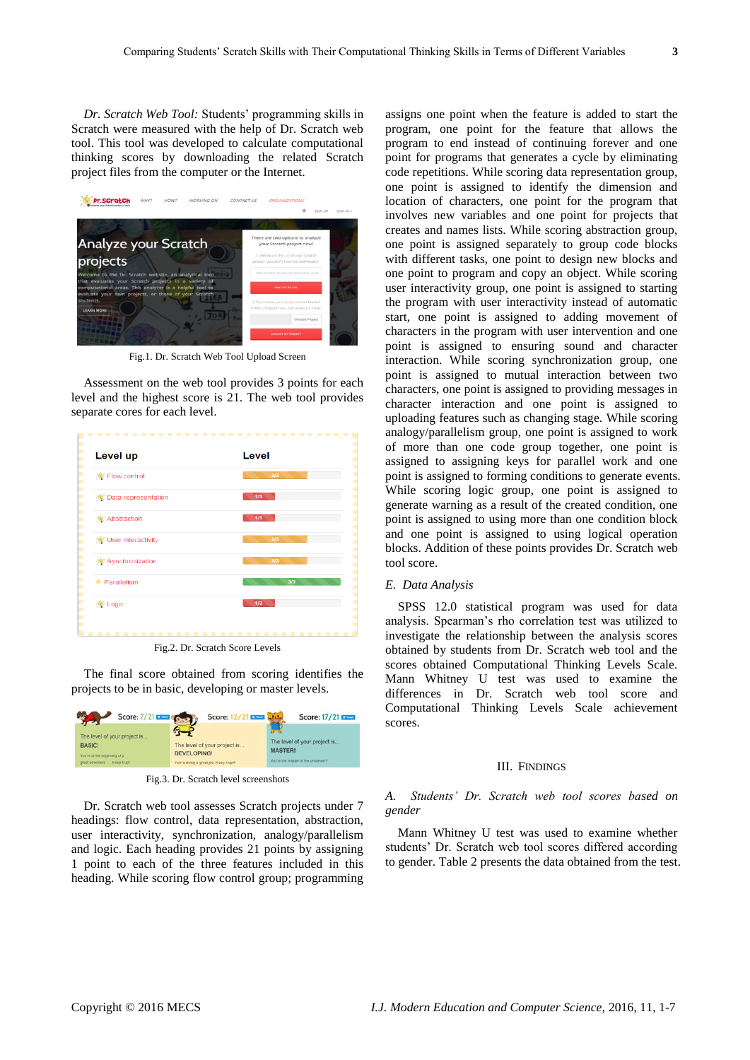*Dr. Scratch Web Tool:* Students' programming skills in Scratch were measured with the help of Dr. Scratch web tool. This tool was developed to calculate computational thinking scores by downloading the related Scratch project files from the computer or the Internet.

|                                                                                                                 | SIGN UP<br>SIGN IN +                                                                |
|-----------------------------------------------------------------------------------------------------------------|-------------------------------------------------------------------------------------|
| Analyze your Scratch                                                                                            | There are two options to analyze<br>your Scratch project now!                       |
| projects                                                                                                        | 1. Introduce the urt of your Scratch<br>project, you don't have to download it.     |
| Welcome to the Dr. Scratch website, an analytical tool<br>that evaluates your Scratch projects in a variety of  | http://stratich.init.edu/projects/your_numl                                         |
| computational areas. This analyzer is a helpful tool to<br>evaluate your own projects, or those of your Scratch | ANALYZE BY ONL                                                                      |
| students.<br><b>LEARN MORE</b>                                                                                  | 2. If you have your project downloaded.<br>in the computer you can analyze it here: |
|                                                                                                                 | Choose Project                                                                      |
|                                                                                                                 | ANALYZE MY PROJECT                                                                  |

Fig.1. Dr. Scratch Web Tool Upload Screen

Assessment on the web tool provides 3 points for each level and the highest score is 21. The web tool provides separate cores for each level.

| Level up               | Level |
|------------------------|-------|
| Flow control           | 2/3   |
| Data representation    | $1/3$ |
| Abstraction            | 1/3   |
| User interactivity     | 2/3   |
| Synchronization        | 2/3   |
| $\star$ Parallelism    | 3/3   |
| <b>Company</b> : Logic | 1/3   |

Fig.2. Dr. Scratch Score Levels

The final score obtained from scoring identifies the projects to be in basic, developing or master levels.

| Score: 7/21                                                                                                       | Score:                                                                                        | Score: 17/21                                                                           |
|-------------------------------------------------------------------------------------------------------------------|-----------------------------------------------------------------------------------------------|----------------------------------------------------------------------------------------|
| The level of your project is<br><b>BASIC!</b><br>You're at the beginning of a<br>great adventure.<br>Keep it upit | The level of your project is<br><b>DEVELOPING!</b><br>You're doing a great job. Keep it up!!! | The level of your project is<br><b>MASTER!</b><br>You're the master of the universe!!! |

Fig.3. Dr. Scratch level screenshots

Dr. Scratch web tool assesses Scratch projects under 7 headings: flow control, data representation, abstraction, user interactivity, synchronization, analogy/parallelism and logic. Each heading provides 21 points by assigning 1 point to each of the three features included in this heading. While scoring flow control group; programming assigns one point when the feature is added to start the program, one point for the feature that allows the program to end instead of continuing forever and one point for programs that generates a cycle by eliminating code repetitions. While scoring data representation group, one point is assigned to identify the dimension and location of characters, one point for the program that involves new variables and one point for projects that creates and names lists. While scoring abstraction group, one point is assigned separately to group code blocks with different tasks, one point to design new blocks and one point to program and copy an object. While scoring user interactivity group, one point is assigned to starting the program with user interactivity instead of automatic start, one point is assigned to adding movement of characters in the program with user intervention and one point is assigned to ensuring sound and character interaction. While scoring synchronization group, one point is assigned to mutual interaction between two characters, one point is assigned to providing messages in character interaction and one point is assigned to uploading features such as changing stage. While scoring analogy/parallelism group, one point is assigned to work of more than one code group together, one point is assigned to assigning keys for parallel work and one point is assigned to forming conditions to generate events. While scoring logic group, one point is assigned to generate warning as a result of the created condition, one point is assigned to using more than one condition block and one point is assigned to using logical operation blocks. Addition of these points provides Dr. Scratch web tool score.

#### *E. Data Analysis*

SPSS 12.0 statistical program was used for data analysis. Spearman's rho correlation test was utilized to investigate the relationship between the analysis scores obtained by students from Dr. Scratch web tool and the scores obtained Computational Thinking Levels Scale. Mann Whitney U test was used to examine the differences in Dr. Scratch web tool score and Computational Thinking Levels Scale achievement scores.

#### III. FINDINGS

### *A. Students' Dr. Scratch web tool scores based on gender*

Mann Whitney U test was used to examine whether students' Dr. Scratch web tool scores differed according to gender. Table 2 presents the data obtained from the test.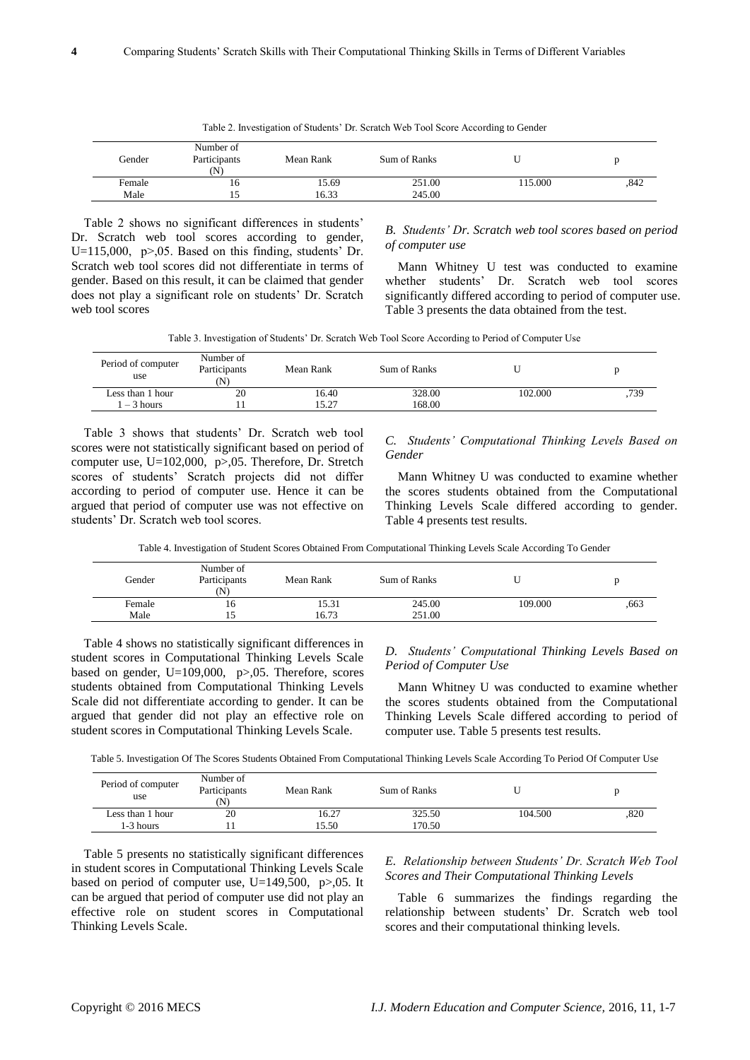|        |                                  |           | Table 2. Investigation of Students' Dr. Scratch Web Tool Score According to Gender |         |      |
|--------|----------------------------------|-----------|------------------------------------------------------------------------------------|---------|------|
| Gender | Number of<br>Participants<br>(N) | Mean Rank | Sum of Ranks                                                                       |         |      |
| Female | 16                               | 15.69     | 251.00                                                                             | 115.000 | .842 |
| Male   |                                  | 16.33     | 245.00                                                                             |         |      |

Table 2 shows no significant differences in students' Dr. Scratch web tool scores according to gender, U=115,000, p>,05. Based on this finding, students' Dr. Scratch web tool scores did not differentiate in terms of gender. Based on this result, it can be claimed that gender does not play a significant role on students' Dr. Scratch web tool scores

## *B. Students' Dr. Scratch web tool scores based on period of computer use*

Mann Whitney U test was conducted to examine whether students' Dr. Scratch web tool scores significantly differed according to period of computer use. Table 3 presents the data obtained from the test.

Table 3. Investigation of Students' Dr. Scratch Web Tool Score According to Period of Computer Use

| Period of computer<br>use | Number of<br>Participants<br>$(\mathbf{N})$ | Mean Rank | Sum of Ranks |         |     |
|---------------------------|---------------------------------------------|-----------|--------------|---------|-----|
| Less than 1 hour          | 20                                          | 16.40     | 328.00       | 102.000 | 739 |
| $-3$ hours                |                                             | 15.27     | 168.00       |         |     |

Table 3 shows that students' Dr. Scratch web tool scores were not statistically significant based on period of computer use, U=102,000, p>,05. Therefore, Dr. Stretch scores of students' Scratch projects did not differ according to period of computer use. Hence it can be argued that period of computer use was not effective on students' Dr. Scratch web tool scores.

*C. Students' Computational Thinking Levels Based on Gender* 

Mann Whitney U was conducted to examine whether the scores students obtained from the Computational Thinking Levels Scale differed according to gender. Table 4 presents test results.

Table 4. Investigation of Student Scores Obtained From Computational Thinking Levels Scale According To Gender

| Gender | Number of<br>Participants<br>(N) | Mean Rank | Sum of Ranks | U       |      |
|--------|----------------------------------|-----------|--------------|---------|------|
| Female | 16                               | 15.31     | 245.00       | 109.000 | .663 |
| Male   |                                  | 16.73     | 251.00       |         |      |

Table 4 shows no statistically significant differences in student scores in Computational Thinking Levels Scale based on gender,  $U=109,000$ ,  $p>0.05$ . Therefore, scores students obtained from Computational Thinking Levels Scale did not differentiate according to gender. It can be argued that gender did not play an effective role on student scores in Computational Thinking Levels Scale.

#### *D. Students' Computational Thinking Levels Based on Period of Computer Use*

Mann Whitney U was conducted to examine whether the scores students obtained from the Computational Thinking Levels Scale differed according to period of computer use. Table 5 presents test results.

Table 5. Investigation Of The Scores Students Obtained From Computational Thinking Levels Scale According To Period Of Computer Use

| Period of computer<br>use | Number of<br>Participants<br>'N) | Mean Rank | Sum of Ranks |         |      |
|---------------------------|----------------------------------|-----------|--------------|---------|------|
| Less than 1 hour          | 20                               | 16.27     | 325.50       | 104.500 | .820 |
| 1-3 hours                 |                                  | 15.50     | 170.50       |         |      |

Table 5 presents no statistically significant differences in student scores in Computational Thinking Levels Scale based on period of computer use, U=149,500, p>,05. It can be argued that period of computer use did not play an effective role on student scores in Computational Thinking Levels Scale.

*E. Relationship between Students' Dr. Scratch Web Tool Scores and Their Computational Thinking Levels* 

Table 6 summarizes the findings regarding the relationship between students' Dr. Scratch web tool scores and their computational thinking levels.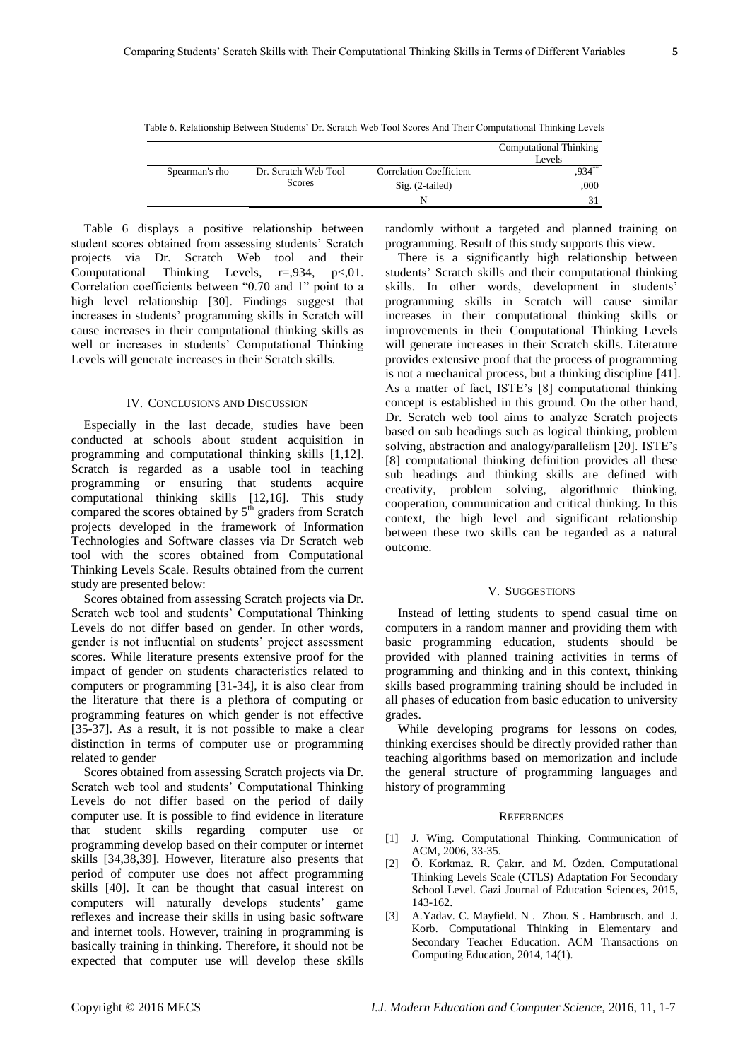| Table 6. Relationship Between Students' Dr. Scratch Web Tool Scores And Their Computational Thinking Levels |  |  |  |  |
|-------------------------------------------------------------------------------------------------------------|--|--|--|--|
|-------------------------------------------------------------------------------------------------------------|--|--|--|--|

|                |                      |                                | <b>Computational Thinking</b><br>Levels |
|----------------|----------------------|--------------------------------|-----------------------------------------|
| Spearman's rho | Dr. Scratch Web Tool | <b>Correlation Coefficient</b> | $934$ **                                |
|                | Scores               | $Sig. (2-tailed)$              | .000                                    |
|                |                      | N                              | 31                                      |
|                |                      |                                |                                         |

Table 6 displays a positive relationship between student scores obtained from assessing students' Scratch projects via Dr. Scratch Web tool and their Computational Thinking Levels,  $r = 0.934$ ,  $p < 0.01$ . Correlation coefficients between "0.70 and 1" point to a high level relationship [30]. Findings suggest that increases in students' programming skills in Scratch will cause increases in their computational thinking skills as well or increases in students' Computational Thinking Levels will generate increases in their Scratch skills.

#### IV. CONCLUSIONS AND DISCUSSION

Especially in the last decade, studies have been conducted at schools about student acquisition in programming and computational thinking skills [1,12]. Scratch is regarded as a usable tool in teaching programming or ensuring that students acquire computational thinking skills [12,16]. This study compared the scores obtained by  $5<sup>th</sup>$  graders from Scratch projects developed in the framework of Information Technologies and Software classes via Dr Scratch web tool with the scores obtained from Computational Thinking Levels Scale. Results obtained from the current study are presented below:

Scores obtained from assessing Scratch projects via Dr. Scratch web tool and students' Computational Thinking Levels do not differ based on gender. In other words, gender is not influential on students' project assessment scores. While literature presents extensive proof for the impact of gender on students characteristics related to computers or programming [31-34], it is also clear from the literature that there is a plethora of computing or programming features on which gender is not effective [35-37]. As a result, it is not possible to make a clear distinction in terms of computer use or programming related to gender

Scores obtained from assessing Scratch projects via Dr. Scratch web tool and students' Computational Thinking Levels do not differ based on the period of daily computer use. It is possible to find evidence in literature that student skills regarding computer use or programming develop based on their computer or internet skills [34,38,39]. However, literature also presents that period of computer use does not affect programming skills [40]. It can be thought that casual interest on computers will naturally develops students' game reflexes and increase their skills in using basic software and internet tools. However, training in programming is basically training in thinking. Therefore, it should not be expected that computer use will develop these skills randomly without a targeted and planned training on programming. Result of this study supports this view.

There is a significantly high relationship between students' Scratch skills and their computational thinking skills. In other words, development in students' programming skills in Scratch will cause similar increases in their computational thinking skills or improvements in their Computational Thinking Levels will generate increases in their Scratch skills. Literature provides extensive proof that the process of programming is not a mechanical process, but a thinking discipline [41]. As a matter of fact, ISTE's [8] computational thinking concept is established in this ground. On the other hand, Dr. Scratch web tool aims to analyze Scratch projects based on sub headings such as logical thinking, problem solving, abstraction and analogy/parallelism [20]. ISTE's [8] computational thinking definition provides all these sub headings and thinking skills are defined with creativity, problem solving, algorithmic thinking, cooperation, communication and critical thinking. In this context, the high level and significant relationship between these two skills can be regarded as a natural outcome.

#### V. SUGGESTIONS

Instead of letting students to spend casual time on computers in a random manner and providing them with basic programming education, students should be provided with planned training activities in terms of programming and thinking and in this context, thinking skills based programming training should be included in all phases of education from basic education to university grades.

While developing programs for lessons on codes, thinking exercises should be directly provided rather than teaching algorithms based on memorization and include the general structure of programming languages and history of programming

#### **REFERENCES**

- [1] J. Wing. Computational Thinking. Communication of ACM, 2006, 33-35.
- [2] Ö. Korkmaz. R. Çakır. and M. Özden. Computational Thinking Levels Scale (CTLS) Adaptation For Secondary School Level. Gazi Journal of Education Sciences, 2015, 143-162.
- [3] A.Yadav. C. Mayfield. N . Zhou. S . Hambrusch. and J. Korb. Computational Thinking in Elementary and Secondary Teacher Education. ACM Transactions on Computing Education, 2014, 14(1).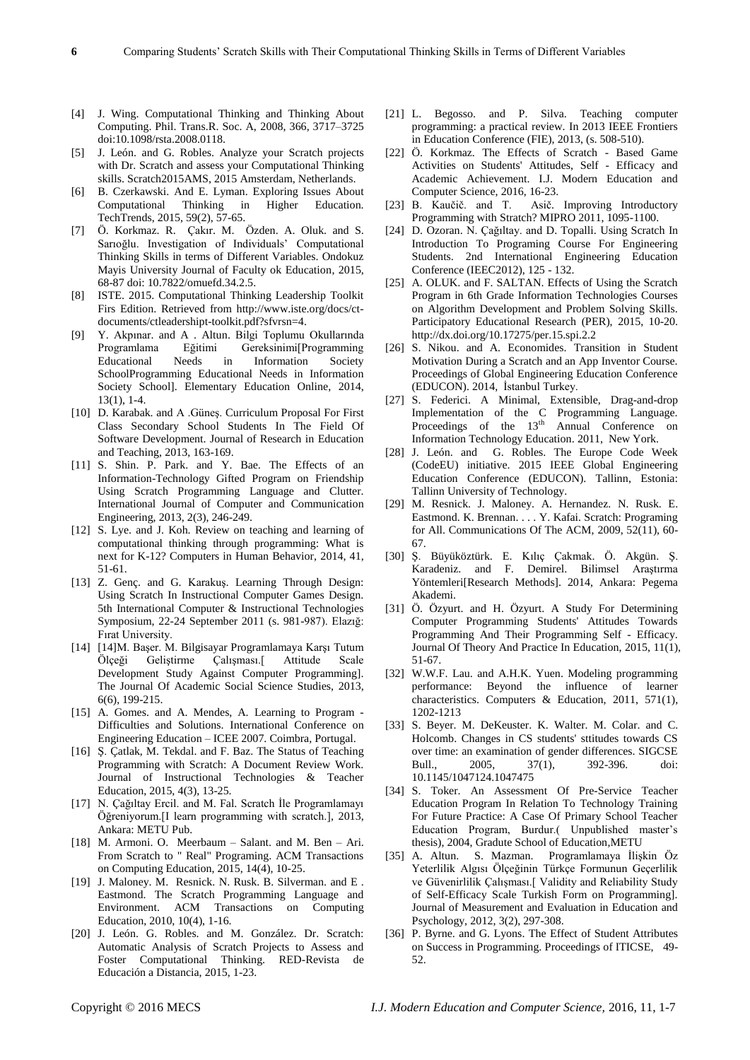- [4] J. Wing. Computational Thinking and Thinking About Computing. Phil. Trans.R. Soc. A, 2008, 366, 3717–3725 doi:10.1098/rsta.2008.0118.
- [5] J. León. and G. Robles. Analyze your Scratch projects with Dr. Scratch and assess your Computational Thinking skills. Scratch2015AMS, 2015 Amsterdam, Netherlands.
- [6] B. Czerkawski. And E. Lyman. Exploring Issues About Computational Thinking in Higher Education. TechTrends, 2015, 59(2), 57-65.
- [7] Ö. Korkmaz. R. Çakır. M. Özden. A. Oluk. and S. Sarıoğlu. Investigation of Individuals' Computational Thinking Skills in terms of Different Variables. Ondokuz Mayis University Journal of Faculty ok Education, 2015, 68-87 doi: 10.7822/omuefd.34.2.5.
- [8] ISTE. 2015. Computational Thinking Leadership Toolkit Firs Edition. Retrieved from http://www.iste.org/docs/ctdocuments/ctleadershipt-toolkit.pdf?sfvrsn=4.
- [9] Y. Akpınar. and A . Altun. Bilgi Toplumu Okullarında Programlama Eğitimi Gereksinimi[Programming Educational Needs in Information Society SchoolProgramming Educational Needs in Information Society School]. Elementary Education Online, 2014, 13(1), 1-4.
- [10] D. Karabak. and A . Güneş. Curriculum Proposal For First Class Secondary School Students In The Field Of Software Development. Journal of Research in Education and Teaching, 2013, 163-169.
- [11] S. Shin. P. Park. and Y. Bae. The Effects of an Information-Technology Gifted Program on Friendship Using Scratch Programming Language and Clutter. International Journal of Computer and Communication Engineering, 2013, 2(3), 246-249.
- [12] S. Lye. and J. Koh. Review on teaching and learning of computational thinking through programming: What is next for K-12? Computers in Human Behavior, 2014, 41, 51-61.
- [13] Z. Genç. and G. Karakuş. Learning Through Design: Using Scratch In Instructional Computer Games Design. 5th International Computer & Instructional Technologies Symposium, 22-24 September 2011 (s. 981-987). Elazığ: Fırat University.
- [14] [14]M. Başer. M. Bilgisayar Programlamaya Karşı Tutum Ölçeği Geliştirme Çalışması.[ Attitude Scale Development Study Against Computer Programming]. The Journal Of Academic Social Science Studies, 2013, 6(6), 199-215.
- [15] A. Gomes. and A. Mendes, A. Learning to Program Difficulties and Solutions. International Conference on Engineering Education – ICEE 2007. Coimbra, Portugal.
- [16] Ş. Çatlak, M. Tekdal. and F. Baz. The Status of Teaching Programming with Scratch: A Document Review Work. Journal of Instructional Technologies & Teacher Education, 2015, 4(3), 13-25.
- [17] N. Çağıltay Ercil. and M. Fal. Scratch İle Programlamayı Öğreniyorum.[I learn programming with scratch.], 2013, Ankara: METU Pub.
- [18] M. Armoni. O. Meerbaum Salant. and M. Ben Ari. From Scratch to " Real" Programing. ACM Transactions on Computing Education, 2015, 14(4), 10-25.
- [19] J. Maloney. M. Resnick. N. Rusk. B. Silverman. and E . Eastmond. The Scratch Programming Language and Environment. ACM Transactions on Computing Education, 2010, 10(4), 1-16.
- [20] J. León. G. Robles. and M. González. Dr. Scratch: Automatic Analysis of Scratch Projects to Assess and Foster Computational Thinking. RED-Revista de Educación a Distancia, 2015, 1-23.
- [21] L. Begosso. and P. Silva. Teaching computer programming: a practical review. In 2013 IEEE Frontiers in Education Conference (FIE), 2013, (s. 508-510).
- [22] Ö. Korkmaz. The Effects of Scratch Based Game Activities on Students' Attitudes, Self - Efficacy and Academic Achievement. I.J. Modern Education and Computer Science, 2016, 16-23.
- [23] B. Kaučič. and T. Asič. Improving Introductory Programming with Stratch? MIPRO 2011, 1095-1100.
- [24] D. Ozoran. N. Çağıltay. and D. Topalli. Using Scratch In Introduction To Programing Course For Engineering Students. 2nd International Engineering Education Conference (IEEC2012), 125 - 132.
- [25] A. OLUK. and F. SALTAN. Effects of Using the Scratch Program in 6th Grade Information Technologies Courses on Algorithm Development and Problem Solving Skills. Participatory Educational Research (PER), 2015, 10-20. http://dx.doi.org/10.17275/per.15.spi.2.2
- [26] S. Nikou. and A. Economides. Transition in Student Motivation During a Scratch and an App Inventor Course. Proceedings of Global Engineering Education Conference (EDUCON). 2014, İstanbul Turkey.
- [27] S. Federici. A Minimal, Extensible, Drag-and-drop Implementation of the C Programming Language. Proceedings of the  $13<sup>th</sup>$  Annual Conference on Information Technology Education. 2011, New York.
- [28] J. León. and G. Robles. The Europe Code Week (CodeEU) initiative. 2015 IEEE Global Engineering Education Conference (EDUCON). Tallinn, Estonia: Tallinn University of Technology.
- [29] M. Resnick. J. Maloney. A. Hernandez. N. Rusk. E. Eastmond. K. Brennan. . . . Y. Kafai. Scratch: Programing for All. Communications Of The ACM, 2009, 52(11), 60- 67.
- [30] Ş. Büyüköztürk. E. Kılıç Çakmak. Ö. Akgün. Ş. Karadeniz. and F. Demirel. Bilimsel Araştırma Yöntemleri[Research Methods]. 2014, Ankara: Pegema Akademi.
- [31] Ö. Özyurt. and H. Özyurt. A Study For Determining Computer Programming Students' Attitudes Towards Programming And Their Programming Self - Efficacy. Journal Of Theory And Practice In Education, 2015, 11(1), 51-67.
- [32] W.W.F. Lau. and A.H.K. Yuen. Modeling programming performance: Beyond the influence of learner characteristics. Computers & Education, 2011, 571(1), 1202-1213
- [33] S. Beyer. M. DeKeuster. K. Walter. M. Colar. and C. Holcomb. Changes in CS students' sttitudes towards CS over time: an examination of gender differences. SIGCSE Bull., 2005, 37(1), 392-396. doi: 10.1145/1047124.1047475
- [34] S. Toker. An Assessment Of Pre-Service Teacher Education Program In Relation To Technology Training For Future Practice: A Case Of Primary School Teacher Education Program, Burdur.( Unpublished master's thesis), 2004, Gradute School of Education,METU
- [35] A. Altun. S. Mazman. Programlamaya İlişkin Öz Yeterlilik Algısı Ölçeğinin Türkçe Formunun Geçerlilik ve Güvenirlilik Çalışması.[ Validity and Reliability Study of Self-Efficacy Scale Turkish Form on Programming]. Journal of Measurement and Evaluation in Education and Psychology, 2012, 3(2), 297-308.
- [36] P. Byrne. and G. Lyons. The Effect of Student Attributes on Success in Programming. Proceedings of ITICSE, 49- 52.